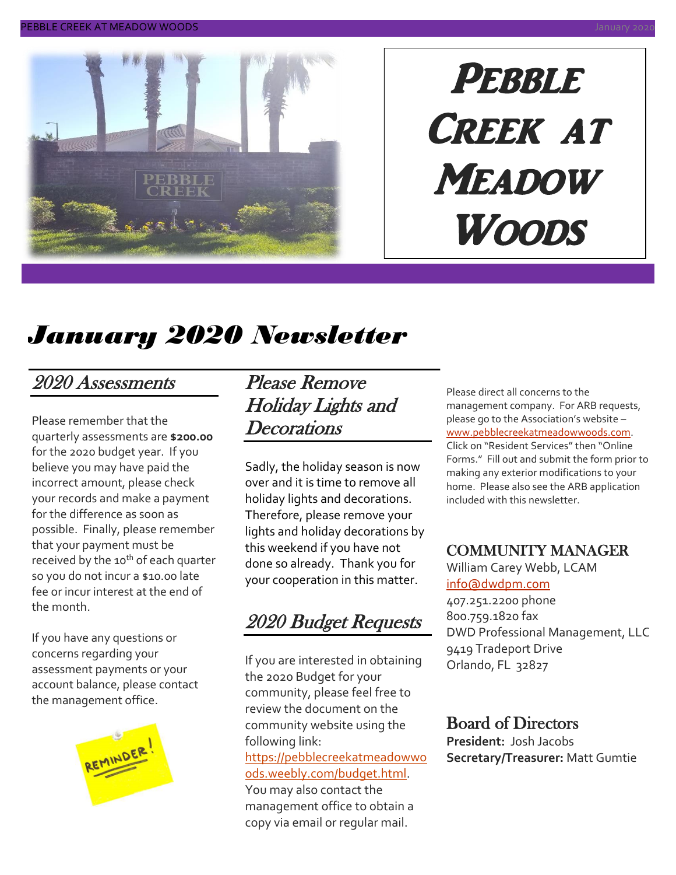

# PEBBLE Creek at **MEADOW Woods**

# *January 2020 Newsletter*

### 2020 Assessments

Please remember that the quarterly assessments are **\$200.00** for the 2020 budget year. If you believe you may have paid the incorrect amount, please check your records and make a payment for the difference as soon as possible. Finally, please remember that your payment must be received by the 10<sup>th</sup> of each quarter so you do not incur a \$10.00 late fee or incur interest at the end of the month.

If you have any questions or concerns regarding your assessment payments or your account balance, please contact the management office.



### Please Remove Holiday Lights and **Decorations**

Sadly, the holiday season is now over and it is time to remove all holiday lights and decorations. Therefore, please remove your lights and holiday decorations by this weekend if you have not done so already. Thank you for your cooperation in this matter.

2020 Budget Requests

If you are interested in obtaining the 2020 Budget for your community, please feel free to review the document on the community website using the following link: [https://pebblecreekatmeadowwo](https://pebblecreekatmeadowwoods.weebly.com/budget.html) [ods.weebly.com/budget.html.](https://pebblecreekatmeadowwoods.weebly.com/budget.html) You may also contact the management office to obtain a

copy via email or regular mail.

Please direct all concerns to the management company. For ARB requests, please go to the Association's website – [www.pebblecreekatmeadowwoods.com.](http://www.pebblecreekatmeadowwoods.com/) Click on "Resident Services" then "Online

Forms." Fill out and submit the form prior to making any exterior modifications to your home. Please also see the ARB application included with this newsletter.

#### COMMUNITY MANAGER

William Carey Webb, LCAM [info@dwdpm.com](mailto:info@dwdpm.com) 

407.251.2200 phone 800.759.1820 fax DWD Professional Management, LLC 9419 Tradeport Drive Orlando, FL 32827

#### Board of Directors

**President:** Josh Jacobs **Secretary/Treasurer:** Matt Gumtie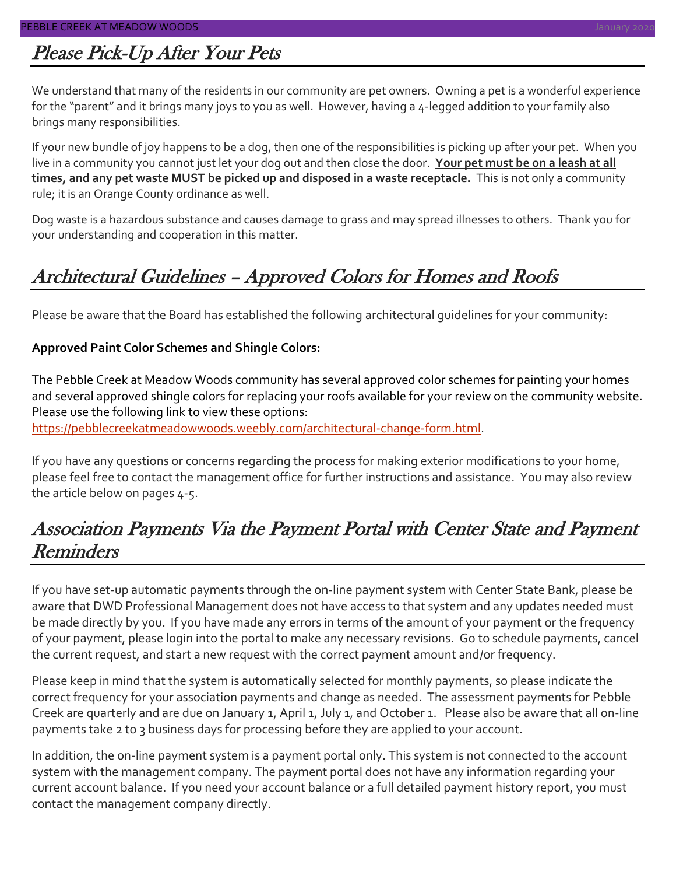### Please Pick-Up After Your Pets

We understand that many of the residents in our community are pet owners. Owning a pet is a wonderful experience for the "parent" and it brings many joys to you as well. However, having a 4-legged addition to your family also brings many responsibilities.

If your new bundle of joy happens to be a dog, then one of the responsibilities is picking up after your pet. When you live in a community you cannot just let your dog out and then close the door. **Your pet must be on a leash at all times, and any pet waste MUST be picked up and disposed in a waste receptacle.** This is not only a community rule; it is an Orange County ordinance as well.

Dog waste is a hazardous substance and causes damage to grass and may spread illnesses to others. Thank you for your understanding and cooperation in this matter.

### Architectural Guidelines – Approved Colors for Homes and Roofs

Please be aware that the Board has established the following architectural guidelines for your community:

#### **Approved Paint Color Schemes and Shingle Colors:**

The Pebble Creek at Meadow Woods community has several approved color schemes for painting your homes and several approved shingle colors for replacing your roofs available for your review on the community website. Please use the following link to view these options:

[https://pebblecreekatmeadowwoods.weebly.com/architectural-change-form.html.](https://pebblecreekatmeadowwoods.weebly.com/architectural-change-form.html)

If you have any questions or concerns regarding the process for making exterior modifications to your home, please feel free to contact the management office for further instructions and assistance. You may also review the article below on pages 4-5.

### Association Payments Via the Payment Portal with Center State and Payment Reminders

If you have set-up automatic payments through the on-line payment system with Center State Bank, please be aware that DWD Professional Management does not have access to that system and any updates needed must be made directly by you. If you have made any errors in terms of the amount of your payment or the frequency of your payment, please login into the portal to make any necessary revisions. Go to schedule payments, cancel the current request, and start a new request with the correct payment amount and/or frequency.

Please keep in mind that the system is automatically selected for monthly payments, so please indicate the correct frequency for your association payments and change as needed. The assessment payments for Pebble Creek are quarterly and are due on January 1, April 1, July 1, and October 1. Please also be aware that all on-line payments take 2 to 3 business days for processing before they are applied to your account.

In addition, the on-line payment system is a payment portal only. This system is not connected to the account system with the management company. The payment portal does not have any information regarding your current account balance. If you need your account balance or a full detailed payment history report, you must contact the management company directly.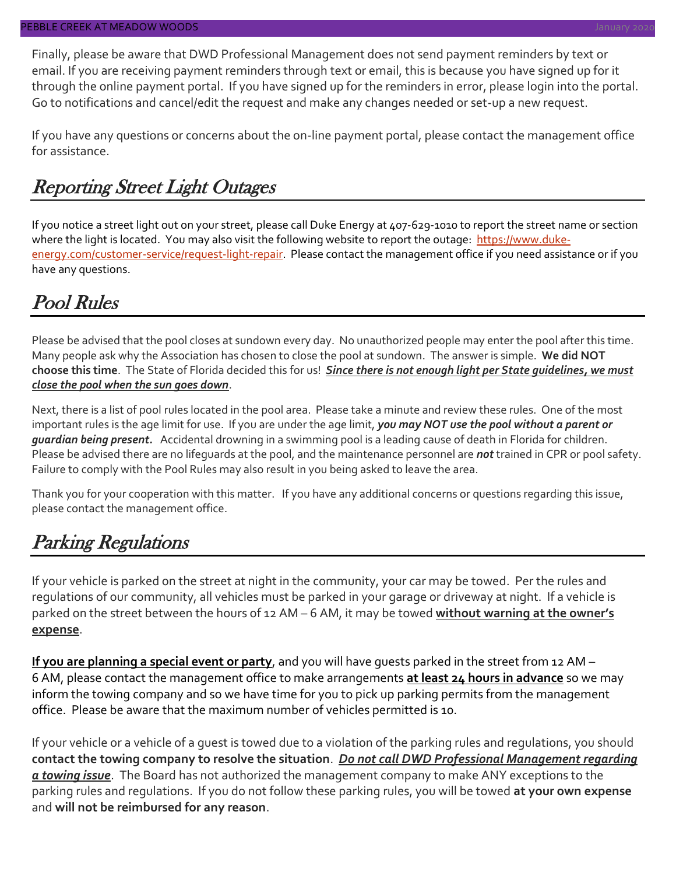Finally, please be aware that DWD Professional Management does not send payment reminders by text or email. If you are receiving payment reminders through text or email, this is because you have signed up for it through the online payment portal. If you have signed up for the reminders in error, please login into the portal. Go to notifications and cancel/edit the request and make any changes needed or set-up a new request.

If you have any questions or concerns about the on-line payment portal, please contact the management office for assistance.

### Reporting Street Light Outages

If you notice a street light out on your street, please call Duke Energy at 407-629-1010 to report the street name or section where the light is located. You may also visit the following website to report the outage: [https://www.duke](https://www.duke-energy.com/customer-service/request-light-repair)[energy.com/customer-service/request-light-repair.](https://www.duke-energy.com/customer-service/request-light-repair) Please contact the management office if you need assistance or if you have any questions.

### Pool Rules

Please be advised that the pool closes at sundown every day. No unauthorized people may enter the pool after this time. Many people ask why the Association has chosen to close the pool at sundown. The answer is simple. **We did NOT choose this time**. The State of Florida decided this for us! *Since there is not enough light per State guidelines, we must close the pool when the sun goes down*.

Next, there is a list of pool rules located in the pool area. Please take a minute and review these rules. One of the most important rules is the age limit for use. If you are under the age limit, *you may NOT use the pool without a parent or guardian being present.* Accidental drowning in a swimming pool is a leading cause of death in Florida for children. Please be advised there are no lifeguards at the pool, and the maintenance personnel are *not* trained in CPR or pool safety. Failure to comply with the Pool Rules may also result in you being asked to leave the area.

Thank you for your cooperation with this matter. If you have any additional concerns or questions regarding this issue, please contact the management office.

### Parking Regulations

If your vehicle is parked on the street at night in the community, your car may be towed. Per the rules and regulations of our community, all vehicles must be parked in your garage or driveway at night. If a vehicle is parked on the street between the hours of 12 AM – 6 AM, it may be towed **without warning at the owner's expense**.

**If you are planning a special event or party**, and you will have guests parked in the street from 12 AM – 6 AM, please contact the management office to make arrangements **at least 24 hours in advance** so we may inform the towing company and so we have time for you to pick up parking permits from the management office. Please be aware that the maximum number of vehicles permitted is 10.

If your vehicle or a vehicle of a guest is towed due to a violation of the parking rules and regulations, you should **contact the towing company to resolve the situation**. *Do not call DWD Professional Management regarding a towing issue*. The Board has not authorized the management company to make ANY exceptions to the parking rules and regulations. If you do not follow these parking rules, you will be towed **at your own expense** and **will not be reimbursed for any reason**.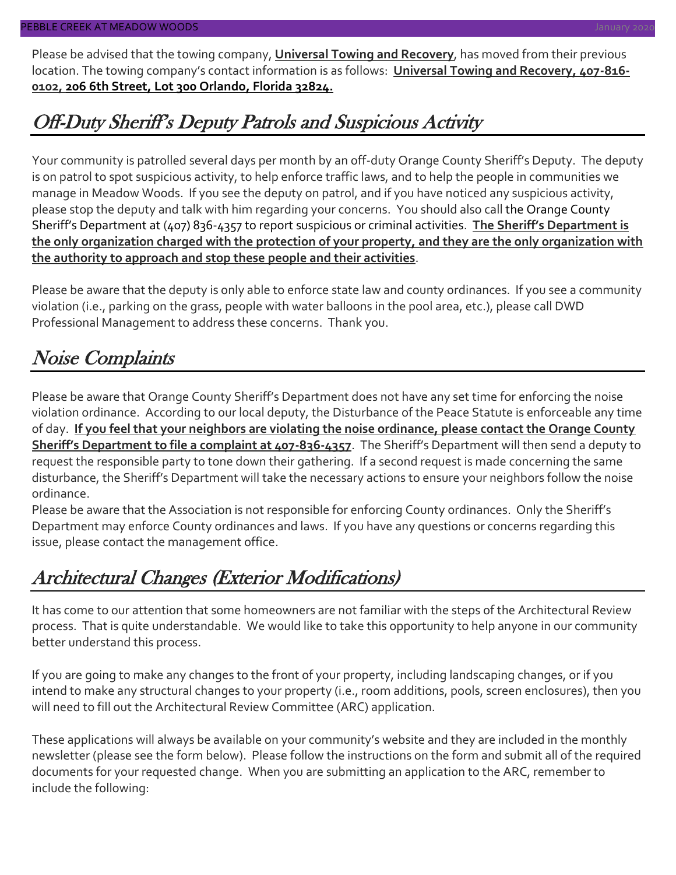Please be advised that the towing company, **Universal Towing and Recovery**, has moved from their previous location. The towing company's contact information is as follows: **Universal Towing and Recovery, 407-816- 0102, 206 6th Street, Lot 300 Orlando, Florida 32824.**

### Off-Duty Sheriff's Deputy Patrols and Suspicious Activity

Your community is patrolled several days per month by an off-duty Orange County Sheriff's Deputy. The deputy is on patrol to spot suspicious activity, to help enforce traffic laws, and to help the people in communities we manage in Meadow Woods. If you see the deputy on patrol, and if you have noticed any suspicious activity, please stop the deputy and talk with him regarding your concerns. You should also call the Orange County Sheriff's Department at (407) 836-4357 to report suspicious or criminal activities. **The Sheriff's Department is the only organization charged with the protection of your property, and they are the only organization with the authority to approach and stop these people and their activities**.

Please be aware that the deputy is only able to enforce state law and county ordinances. If you see a community violation (i.e., parking on the grass, people with water balloons in the pool area, etc.), please call DWD Professional Management to address these concerns. Thank you.

### Noise Complaints

Please be aware that Orange County Sheriff's Department does not have any set time for enforcing the noise violation ordinance. According to our local deputy, the Disturbance of the Peace Statute is enforceable any time of day. **If you feel that your neighbors are violating the noise ordinance, please contact the Orange County Sheriff's Department to file a complaint at 407-836-4357**. The Sheriff's Department will then send a deputy to request the responsible party to tone down their gathering. If a second request is made concerning the same disturbance, the Sheriff's Department will take the necessary actions to ensure your neighbors follow the noise ordinance.

Please be aware that the Association is not responsible for enforcing County ordinances. Only the Sheriff's Department may enforce County ordinances and laws. If you have any questions or concerns regarding this issue, please contact the management office.

### Architectural Changes (Exterior Modifications)

It has come to our attention that some homeowners are not familiar with the steps of the Architectural Review process. That is quite understandable. We would like to take this opportunity to help anyone in our community better understand this process.

If you are going to make any changes to the front of your property, including landscaping changes, or if you intend to make any structural changes to your property (i.e., room additions, pools, screen enclosures), then you will need to fill out the Architectural Review Committee (ARC) application.

These applications will always be available on your community's website and they are included in the monthly newsletter (please see the form below). Please follow the instructions on the form and submit all of the required documents for your requested change. When you are submitting an application to the ARC, remember to include the following: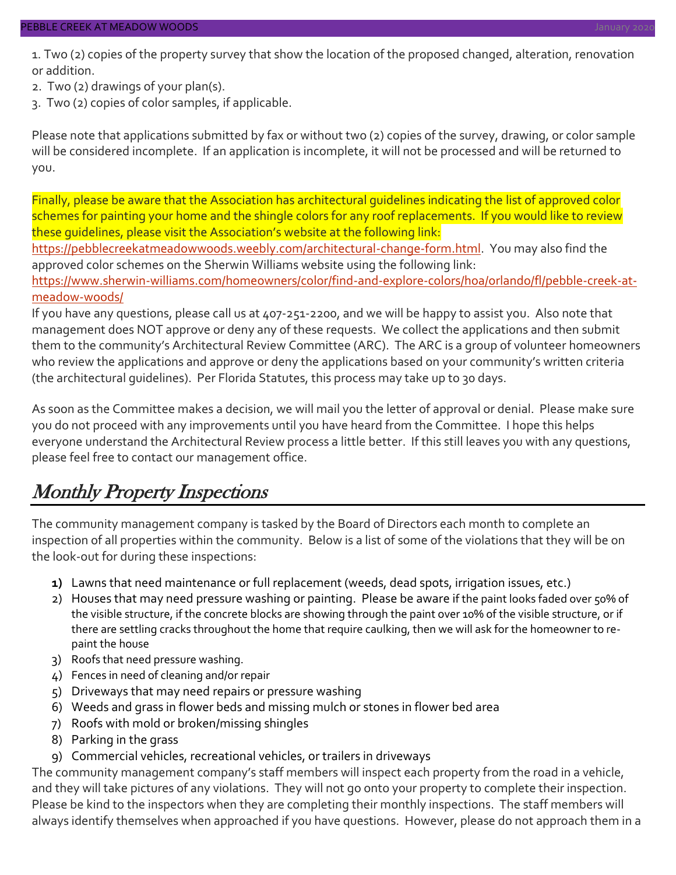1. Two (2) copies of the property survey that show the location of the proposed changed, alteration, renovation or addition.

- 2. Two (2) drawings of your plan(s).
- 3. Two (2) copies of color samples, if applicable.

Please note that applications submitted by fax or without two (2) copies of the survey, drawing, or color sample will be considered incomplete. If an application is incomplete, it will not be processed and will be returned to you.

Finally, please be aware that the Association has architectural guidelines indicating the list of approved color schemes for painting your home and the shingle colors for any roof replacements. If you would like to review these guidelines, please visit the Association's website at the following link:

[https://pebblecreekatmeadowwoods.weebly.com/architectural-change-form.html.](https://pebblecreekatmeadowwoods.weebly.com/architectural-change-form.html) You may also find the approved color schemes on the Sherwin Williams website using the following link:

[https://www.sherwin-williams.com/homeowners/color/find-and-explore-colors/hoa/orlando/fl/pebble-creek-at](https://www.sherwin-williams.com/homeowners/color/find-and-explore-colors/hoa/orlando/fl/pebble-creek-at-meadow-woods/)[meadow-woods/](https://www.sherwin-williams.com/homeowners/color/find-and-explore-colors/hoa/orlando/fl/pebble-creek-at-meadow-woods/)

If you have any questions, please call us at 407-251-2200, and we will be happy to assist you. Also note that management does NOT approve or deny any of these requests. We collect the applications and then submit them to the community's Architectural Review Committee (ARC). The ARC is a group of volunteer homeowners who review the applications and approve or deny the applications based on your community's written criteria (the architectural guidelines). Per Florida Statutes, this process may take up to 30 days.

As soon as the Committee makes a decision, we will mail you the letter of approval or denial. Please make sure you do not proceed with any improvements until you have heard from the Committee. I hope this helps everyone understand the Architectural Review process a little better. If this still leaves you with any questions, please feel free to contact our management office.

### Monthly Property Inspections

The community management company is tasked by the Board of Directors each month to complete an inspection of all properties within the community. Below is a list of some of the violations that they will be on the look-out for during these inspections:

- **1)** Lawns that need maintenance or full replacement (weeds, dead spots, irrigation issues, etc.)
- 2) Houses that may need pressure washing or painting. Please be aware if the paint looks faded over 50% of the visible structure, if the concrete blocks are showing through the paint over 10% of the visible structure, or if there are settling cracks throughout the home that require caulking, then we will ask for the homeowner to repaint the house
- 3) Roofs that need pressure washing.
- 4) Fences in need of cleaning and/or repair
- 5) Driveways that may need repairs or pressure washing
- 6) Weeds and grass in flower beds and missing mulch or stones in flower bed area
- 7) Roofs with mold or broken/missing shingles
- 8) Parking in the grass
- 9) Commercial vehicles, recreational vehicles, or trailers in driveways

The community management company's staff members will inspect each property from the road in a vehicle, and they will take pictures of any violations. They will not go onto your property to complete their inspection. Please be kind to the inspectors when they are completing their monthly inspections. The staff members will always identify themselves when approached if you have questions. However, please do not approach them in a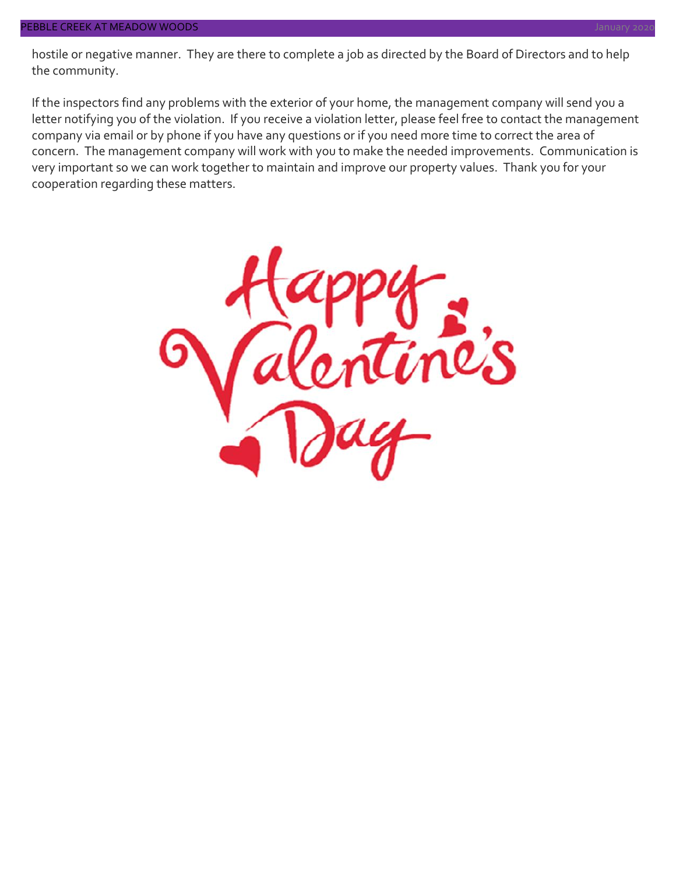hostile or negative manner. They are there to complete a job as directed by the Board of Directors and to help the community.

If the inspectors find any problems with the exterior of your home, the management company will send you a letter notifying you of the violation. If you receive a violation letter, please feel free to contact the management company via email or by phone if you have any questions or if you need more time to correct the area of concern. The management company will work with you to make the needed improvements. Communication is very important so we can work together to maintain and improve our property values. Thank you for your cooperation regarding these matters.

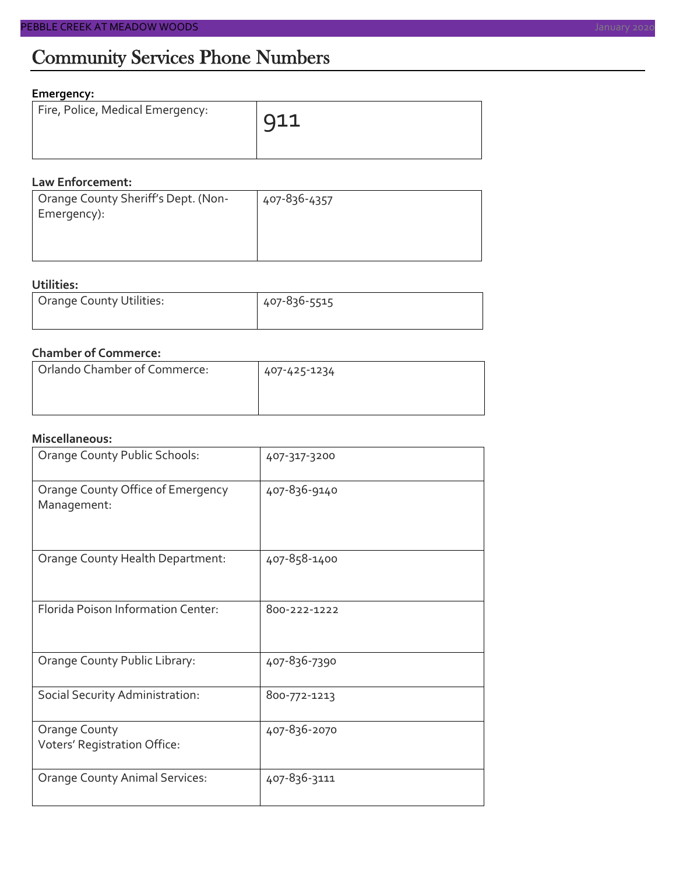#### **Emergency:**

| Fire, Police, Medical Emergency: | $911$ |
|----------------------------------|-------|
|                                  |       |

#### **Law Enforcement:**

| Orange County Sheriff's Dept. (Non- | 407-836-4357 |
|-------------------------------------|--------------|
| Emergency):                         |              |
|                                     |              |

#### **Utilities:**

| Orange County Utilities: | 407-836-5515 |  |  |
|--------------------------|--------------|--|--|
|                          |              |  |  |

#### **Chamber of Commerce:**

| Orlando Chamber of Commerce: | 407-425-1234 |
|------------------------------|--------------|
|                              |              |

#### **Miscellaneous:**

| Orange County Public Schools:                    | 407-317-3200 |
|--------------------------------------------------|--------------|
| Orange County Office of Emergency<br>Management: | 407-836-9140 |
| Orange County Health Department:                 | 407-858-1400 |
| Florida Poison Information Center:               | 800-222-1222 |
| Orange County Public Library:                    | 407-836-7390 |
| Social Security Administration:                  | 800-772-1213 |
| Orange County<br>Voters' Registration Office:    | 407-836-2070 |
| <b>Orange County Animal Services:</b>            | 407-836-3111 |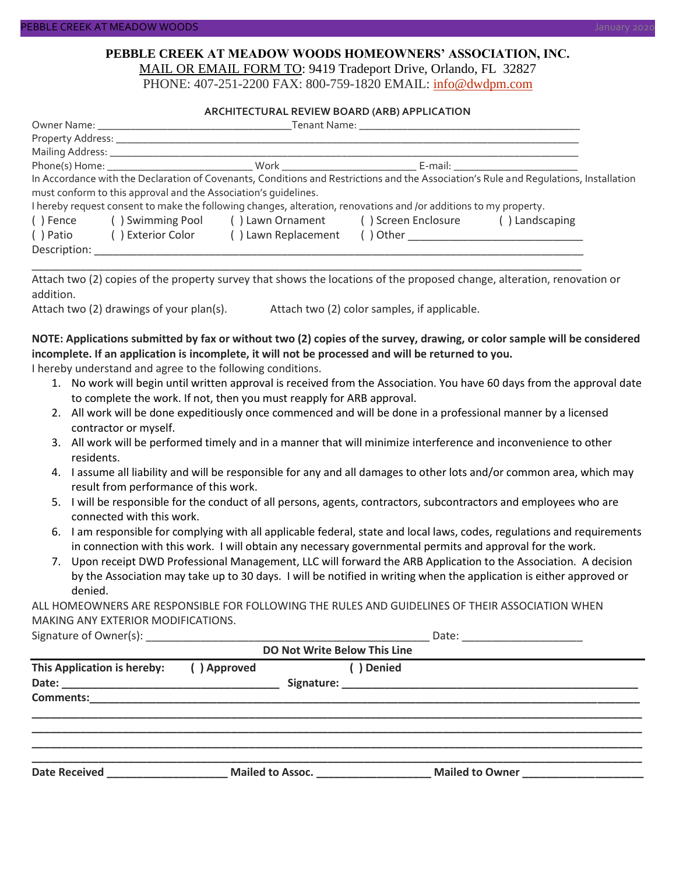#### **PEBBLE CREEK AT MEADOW WOODS HOMEOWNERS' ASSOCIATION, INC.** MAIL OR EMAIL FORM TO: 9419 Tradeport Drive, Orlando, FL 32827

PHONE: 407-251-2200 FAX: 800-759-1820 EMAIL: [info@dwdpm.com](mailto:info@dwdpm.com)

#### **ARCHITECTURAL REVIEW BOARD (ARB) APPLICATION**

|              |                                                                 |                                                                                                                   | E-mail: ____________________________ |                                                                                                                                       |
|--------------|-----------------------------------------------------------------|-------------------------------------------------------------------------------------------------------------------|--------------------------------------|---------------------------------------------------------------------------------------------------------------------------------------|
|              |                                                                 |                                                                                                                   |                                      | In Accordance with the Declaration of Covenants, Conditions and Restrictions and the Association's Rule and Requlations, Installation |
|              | must conform to this approval and the Association's quidelines. |                                                                                                                   |                                      |                                                                                                                                       |
|              |                                                                 | I hereby request consent to make the following changes, alteration, renovations and /or additions to my property. |                                      |                                                                                                                                       |
| () Fence     |                                                                 | () Swimming Pool () Lawn Ornament () Screen Enclosure                                                             |                                      | () Landscaping                                                                                                                        |
| ( ) Patio    | ( ) Exterior Color                                              | () Lawn Replacement                                                                                               |                                      |                                                                                                                                       |
| Description: |                                                                 |                                                                                                                   |                                      |                                                                                                                                       |

Attach two (2) copies of the property survey that shows the locations of the proposed change, alteration, renovation or addition.

\_\_\_\_\_\_\_\_\_\_\_\_\_\_\_\_\_\_\_\_\_\_\_\_\_\_\_\_\_\_\_\_\_\_\_\_\_\_\_\_\_\_\_\_\_\_\_\_\_\_\_\_\_\_\_\_\_\_\_\_\_\_\_\_\_\_\_\_\_\_\_\_\_\_\_\_\_\_\_\_\_\_\_\_\_\_\_\_\_\_\_

Attach two (2) drawings of your plan(s). Attach two (2) color samples, if applicable.

#### **NOTE: Applications submitted by fax or without two (2) copies of the survey, drawing, or color sample will be considered incomplete. If an application is incomplete, it will not be processed and will be returned to you.**

I hereby understand and agree to the following conditions.

- 1. No work will begin until written approval is received from the Association. You have 60 days from the approval date to complete the work. If not, then you must reapply for ARB approval.
- 2. All work will be done expeditiously once commenced and will be done in a professional manner by a licensed contractor or myself.
- 3. All work will be performed timely and in a manner that will minimize interference and inconvenience to other residents.
- 4. I assume all liability and will be responsible for any and all damages to other lots and/or common area, which may result from performance of this work.
- 5. I will be responsible for the conduct of all persons, agents, contractors, subcontractors and employees who are connected with this work.
- 6. I am responsible for complying with all applicable federal, state and local laws, codes, regulations and requirements in connection with this work. I will obtain any necessary governmental permits and approval for the work.
- 7. Upon receipt DWD Professional Management, LLC will forward the ARB Application to the Association. A decision by the Association may take up to 30 days. I will be notified in writing when the application is either approved or denied.

ALL HOMEOWNERS ARE RESPONSIBLE FOR FOLLOWING THE RULES AND GUIDELINES OF THEIR ASSOCIATION WHEN MAKING ANY EXTERIOR MODIFICATIONS.

| Signature of C<br>: ()wner(s) |  |
|-------------------------------|--|
|-------------------------------|--|

| DO Not Write Below This Line |             |                                 |                 |  |  |
|------------------------------|-------------|---------------------------------|-----------------|--|--|
| This Application is hereby:  | () Approved | ) Denied                        |                 |  |  |
|                              |             |                                 |                 |  |  |
|                              |             |                                 |                 |  |  |
|                              |             |                                 |                 |  |  |
|                              |             |                                 |                 |  |  |
|                              |             |                                 |                 |  |  |
| <b>Date Received</b>         |             | Mailed to Assoc. ______________ | Mailed to Owner |  |  |